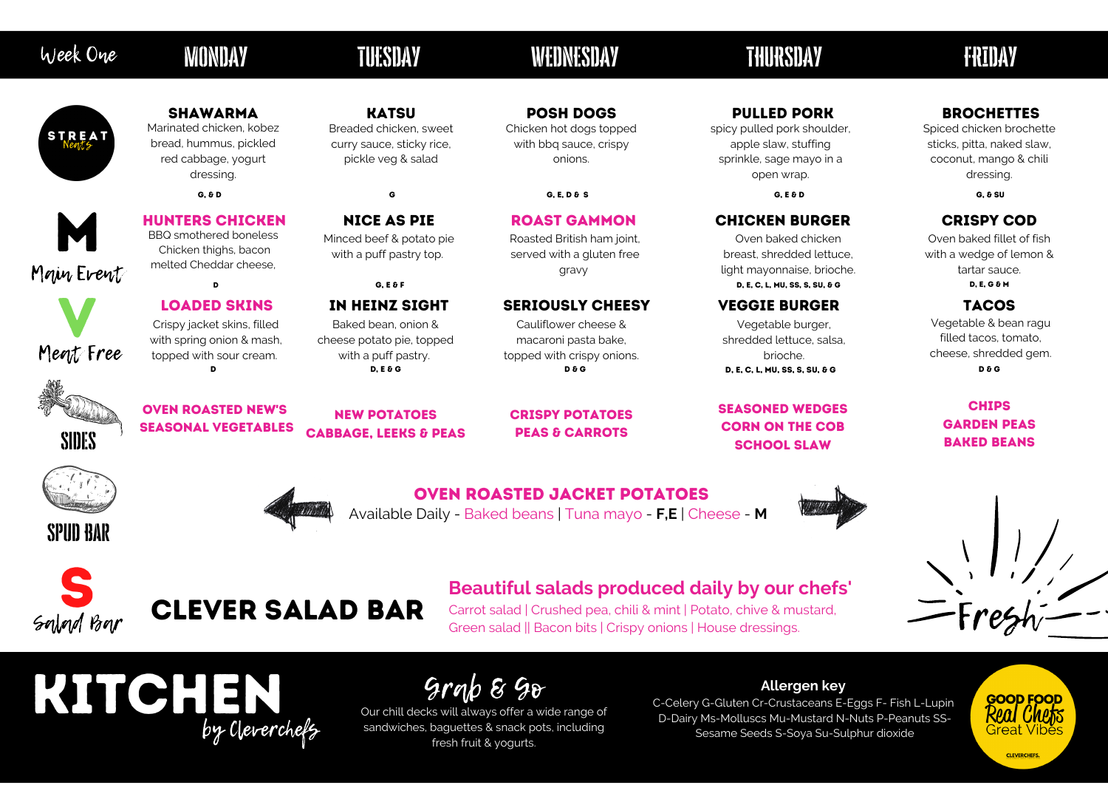## MONDAY TUESDAY WEDNESDAY THURSDAY FRIDAY

Main Event M



Spud Bar

Sides





KITCHEN

by Cleverchefs

#### Hunters Chicken BBQ smothered boneless Chicken thighs, bacon melted Cheddar cheese,

Oven baked fillet of fish with a wedge of lemon & tartar sauce. D, E, C, L, MU, SS, S, SU, & G D, E, G & M D, E, G & M

## Nice as pie

Minced beef & potato pie with a puff pastry top.

### ROAST GAMMON

Roasted British ham joint, served with a gluten free gravy

#### SERIOUSLY CHEESY VEGGIE BURGER TACOS

Cauliflower cheese & macaroni pasta bake, topped with crispy onions.  $D$  D,  $D$ ,  $E \& B$   $D \& C$  D  $D \& C$  D  $D \& C$  D  $D \& C$  D,  $E$ ,  $C$ ,  $L$ ,  $MU$ ,  $SS$ ,  $S$ ,  $S$ ,  $U$ ,  $\& C$ 

## CHICKEN BURGER

Oven baked chicken breast, shredded lettuce, light mayonnaise, brioche.

#### CRISPY COD

#### Available Daily - Baked beans | Tuna mayo - **F,E** | Cheese - **M** Oven roasted jacket potatoes



crispy potatoes **PEAS & CARROTS** 

#### Loaded skins Crispy jacket skins, filled

#### **CHIPS** garden peas baked beans



with spring onion & mash, topped with sour cream.

## in heinz sight

Baked bean, onion & cheese potato pie, topped with a puff pastry.

Vegetable burger, shredded lettuce, salsa, brioche.

Vegetable & bean ragu filled tacos, tomato, cheese, shredded gem.

Carrot salad | Crushed pea, chili & mint | Potato, chive & mustard, Green salad || Bacon bits | Crispy onions | House dressings.

oven roasted new's seasonal vegetables

## **KATSU**

New potatoes Cabbage, leeks & peas

#### **BROCHETTES**

#### Seasoned wedges Corn on the cob school slaw



## Week One

# **STREAT**

## **Allergen key**

C-Celery G-Gluten Cr-Crustaceans E-Eggs F- Fish L-Lupin D-Dairy Ms-Molluscs Mu-Mustard N-Nuts P-Peanuts SS-Sesame Seeds S-Soya Su-Sulphur dioxide

G, E & F

#### shawarma Marinated chicken, kobez bread, hummus, pickled

red cabbage, yogurt dressing.

Breaded chicken, sweet curry sauce, sticky rice, pickle veg & salad

posh dogs

Chicken hot dogs topped with bbq sauce, crispy onions.

G, & D G, E, D & G, E, D & S G, E, D & G, E G, G & G, E G, G & SU G, & SU G, & SU G, & SU G, & SU

### pulled pork

spicy pulled pork shoulder, apple slaw, stuffing sprinkle, sage mayo in a open wrap.

Spiced chicken brochette sticks, pitta, naked slaw, coconut, mango & chili dressing.



## **Beautiful salads produced daily by our chefs'**

## Grab & Go

Our chill decks will always offer a wide range of sandwiches, baguettes & snack pots, including fresh fruit & yogurts.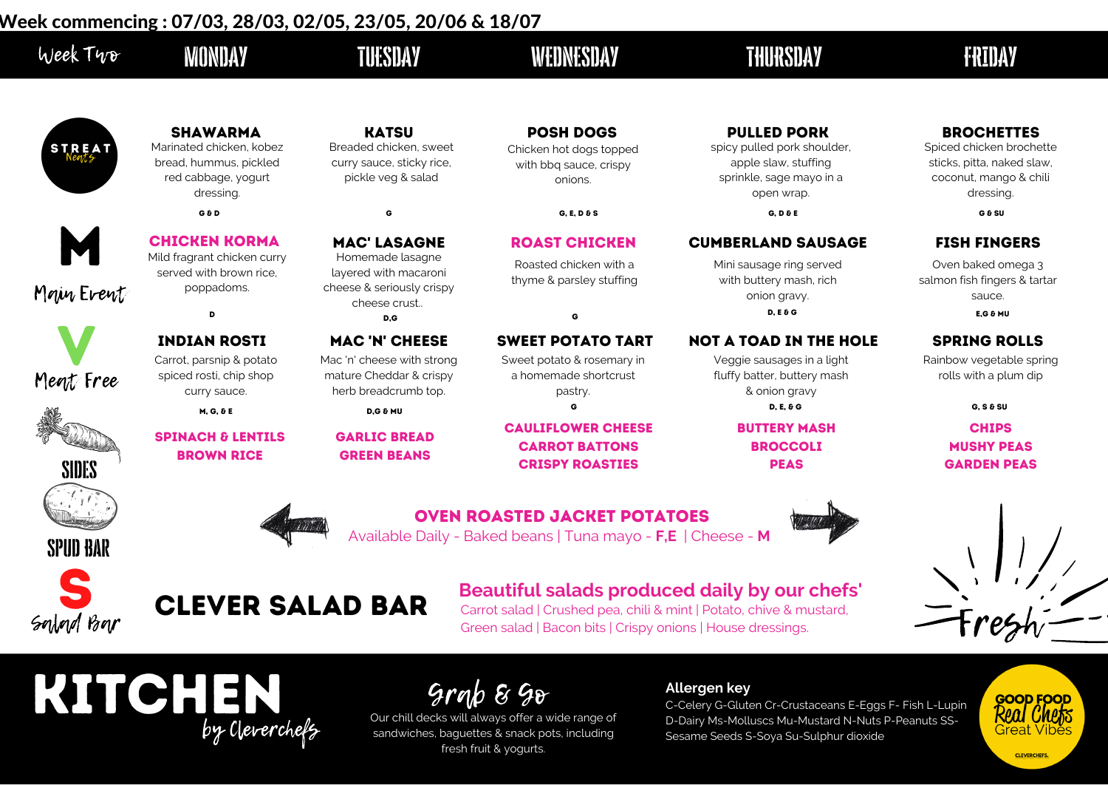Spud Bar s

Salad Bar

KITCHEN by Cleverchefs

#### fish fingers

Oven baked omega 3 salmon fish fingers & tartar sauce.

#### E HOLE SPRING ROLLS

| Week Typ     | WONDAY                                                                                                    | TUESDAY                                                                                        | WEDNESDAY                                                                                           | THURSDAY                                                                                                            | FRIDAY                                                                                                     |
|--------------|-----------------------------------------------------------------------------------------------------------|------------------------------------------------------------------------------------------------|-----------------------------------------------------------------------------------------------------|---------------------------------------------------------------------------------------------------------------------|------------------------------------------------------------------------------------------------------------|
| STREAT       | <b>SHAWARMA</b><br>Marinated chicken, kobez<br>bread, hummus, pickled<br>red cabbage, yogurt<br>dressing. | <b>KATSU</b><br>Breaded chicken, sweet<br>curry sauce, sticky rice,<br>pickle veg & salad      | <b>POSH DOGS</b><br>Chicken hot dogs topped<br>with bbq sauce, crispy<br>onions.                    | <b>PULLED PORK</b><br>spicy pulled pork shoulder,<br>apple slaw, stuffing<br>sprinkle, sage mayo in a<br>open wrap. | <b>BROCHETTES</b><br>Spiced chicken broche<br>sticks, pitta, naked sla<br>coconut, mango & ch<br>dressing. |
|              | G G D                                                                                                     |                                                                                                | $G, E, D \& S$                                                                                      | $G, D \& E$                                                                                                         | G & SU                                                                                                     |
| M            | <b>CHICKEN KORMA</b>                                                                                      | <b>MAC' LASAGNE</b>                                                                            | <b>ROAST CHICKEN</b>                                                                                | <b>CUMBERLAND SAUSAGE</b>                                                                                           | <b>FISH FINGERS</b>                                                                                        |
| Mour Event   | Mild fragrant chicken curry<br>served with brown rice.<br>poppadoms.<br>D                                 | Homemade lasagne<br>layered with macaroni<br>cheese & seriously crispy<br>cheese crust<br>D, G | Roasted chicken with a<br>thyme & parsley stuffing<br>G                                             | Mini sausage ring served<br>with buttery mash, rich<br>onion gravy.<br>$D, E \& G$                                  | Oven baked omega 3<br>salmon fish fingers & tar<br>sauce.<br>$E, G \& M$ U                                 |
|              | <b>INDIAN ROSTI</b>                                                                                       | <b>MAC 'N' CHEESE</b>                                                                          | <b>SWEET POTATO TART</b>                                                                            | <b>NOT A TOAD IN THE HOLE</b>                                                                                       | <b>SPRING ROLLS</b>                                                                                        |
| Megt Free    | Carrot, parsnip & potato<br>spiced rosti, chip shop<br>curry sauce.                                       | Mac 'n' cheese with strong<br>mature Cheddar & crispy<br>herb breadcrumb top.                  | Sweet potato & rosemary in<br>a homemade shortcrust<br>pastry.                                      | Veggie sausages in a light<br>fluffy batter, buttery mash<br>& onion gravy                                          | Rainbow vegetable spr<br>rolls with a plum dip                                                             |
|              | $M, G, \delta E$                                                                                          | $D, G \& M$ U                                                                                  |                                                                                                     | <b>D, E, &amp; G</b>                                                                                                | $G, S \& SU$                                                                                               |
| <b>SIDES</b> | <b>SPINACH &amp; LENTILS</b><br><b>BROWN RICE</b>                                                         | <b>GARLIC BREAD</b><br><b>GREEN BEANS</b>                                                      | <b>CAULIFLOWER CHEESE</b><br><b>CARROT BATTONS</b><br><b>CRISPY ROASTIES</b>                        | <b>BUTTERY MASH</b><br><b>BROCCOLI</b><br><b>PEAS</b>                                                               | <b>CHIPS</b><br><b>MUSHY PEAS</b><br><b>GARDEN PEAS</b>                                                    |
| oniin nan    |                                                                                                           | Ant 6.                                                                                         | <b>OVEN ROASTED JACKET POTATOES</b><br>Available Daily - Baked beans   Tuna mayo - F,E   Cheese - M |                                                                                                                     |                                                                                                            |

#### **CHIPS** MUSHY PEAS GARDEN PEAs









**CLEVERCHEFS.** 

Rainbow vegetable spring rolls with a plum dip

Carrot salad | Crushed pea, chili & mint | Potato, chive & mustard, Green salad | Bacon bits | Crispy onions | House dressings.

#### **Allergen key**

C-Celery G-Gluten Cr-Crustaceans E-Eggs F- Fish L-Lupin D-Dairy Ms-Molluscs Mu-Mustard N-Nuts P-Peanuts SS-Sesame Seeds S-Soya Su-Sulphur dioxide

## SAGE

Spiced chicken brochette sticks, pitta, naked slaw, coconut, mango & chili dressing.



## **Beautiful salads produced daily by our chefs'**

Our chill decks will always offer a wide range of sandwiches, baguettes & snack pots, including fresh fruit & yogurts.

Grab & Go

## Week commencing : 07/03, 28/03, 02/05, 23/05, 20/06 & 18/07